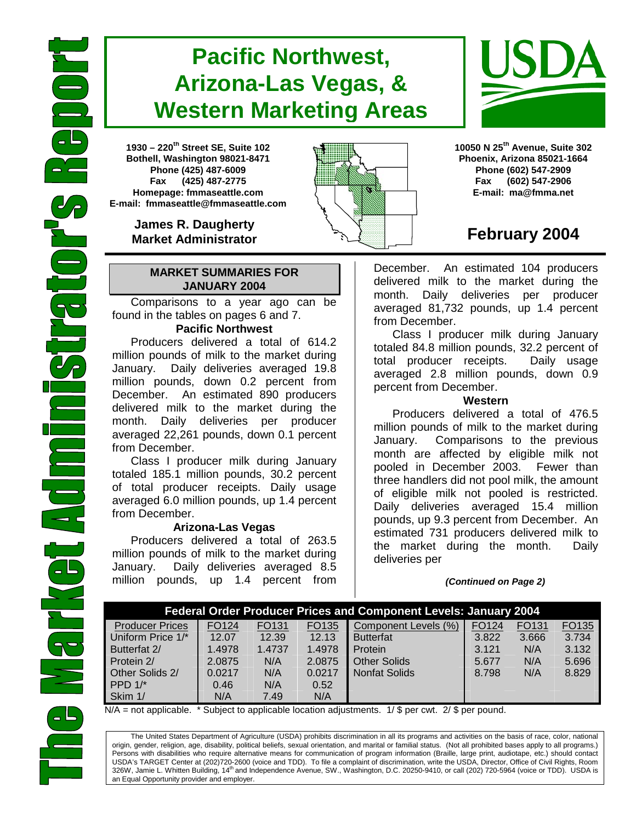# **Pacific Northwest, Arizona-Las Vegas, & Western Marketing Areas**

**1930 – 220th Street SE, Suite 102 Bothell, Washington 98021-8471 Phone (425) 487-6009 Fax (425) 487-2775 Homepage: fmmaseattle.com E-mail: fmmaseattle@fmmaseattle.com**

> **James R. Daugherty Market Administrator**

#### **MARKET SUMMARIES FOR JANUARY 2004**

 Comparisons to a year ago can be found in the tables on pages 6 and 7.

### **Pacific Northwest**

Producers delivered a total of 614.2 million pounds of milk to the market during January. Daily deliveries averaged 19.8 million pounds, down 0.2 percent from December. An estimated 890 producers delivered milk to the market during the month. Daily deliveries per producer averaged 22,261 pounds, down 0.1 percent from December.

Class I producer milk during January totaled 185.1 million pounds, 30.2 percent of total producer receipts. Daily usage averaged 6.0 million pounds, up 1.4 percent from December.

#### **Arizona-Las Vegas**

Producers delivered a total of 263.5 million pounds of milk to the market during January. Daily deliveries averaged 8.5 million pounds, up 1.4 percent from





**10050 N 25th Avenue, Suite 302 Phoenix, Arizona 85021-1664 Phone (602) 547-2909 Fax (602) 547-2906 E-mail: ma@fmma.net**

# **February 2004**

December. An estimated 104 producers delivered milk to the market during the month. Daily deliveries per producer averaged 81,732 pounds, up 1.4 percent from December.

Class I producer milk during January totaled 84.8 million pounds, 32.2 percent of total producer receipts. Daily usage averaged 2.8 million pounds, down 0.9 percent from December.

#### **Western**

Producers delivered a total of 476.5 million pounds of milk to the market during January. Comparisons to the previous month are affected by eligible milk not pooled in December 2003. Fewer than three handlers did not pool milk, the amount of eligible milk not pooled is restricted. Daily deliveries averaged 15.4 million pounds, up 9.3 percent from December. An estimated 731 producers delivered milk to the market during the month. Daily deliveries per

#### *(Continued on Page 2)*

|                        | <b>Federal Order Producer Prices and Component Levels: January 2004</b> |        |        |                      |       |                   |       |  |  |  |  |  |  |  |  |
|------------------------|-------------------------------------------------------------------------|--------|--------|----------------------|-------|-------------------|-------|--|--|--|--|--|--|--|--|
| <b>Producer Prices</b> | FO124                                                                   | FO131  | FO135  | Component Levels (%) | FO124 | FO <sub>131</sub> | FO135 |  |  |  |  |  |  |  |  |
| Uniform Price 1/*      | 12.07                                                                   | 12.39  | 12.13  | <b>Butterfat</b>     | 3.822 | 3.666             | 3.734 |  |  |  |  |  |  |  |  |
| Butterfat 2/           | 1.4978                                                                  | 1.4737 | 1.4978 | Protein              | 3.121 | N/A               | 3.132 |  |  |  |  |  |  |  |  |
| Protein 2/             | 2.0875                                                                  | N/A    | 2.0875 | <b>Other Solids</b>  | 5.677 | N/A               | 5.696 |  |  |  |  |  |  |  |  |
| Other Solids 2/        | 0.0217                                                                  | N/A    | 0.0217 | <b>Nonfat Solids</b> | 8.798 | N/A               | 8.829 |  |  |  |  |  |  |  |  |
| PPD $1$ <sup>*</sup>   | 0.46                                                                    | N/A    | 0.52   |                      |       |                   |       |  |  |  |  |  |  |  |  |
| Skim 1/                | N/A                                                                     | 7.49   | N/A    |                      |       |                   |       |  |  |  |  |  |  |  |  |

 $N/A$  = not applicable. \* Subject to applicable location adjustments. 1/ \$ per cwt. 2/ \$ per pound.

The United States Department of Agriculture (USDA) prohibits discrimination in all its programs and activities on the basis of race, color, national origin, gender, religion, age, disability, political beliefs, sexual orientation, and marital or familial status. (Not all prohibited bases apply to all programs.) Persons with disabilities who require alternative means for communication of program information (Braille, large print, audiotape, etc.) should contact USDA's TARGET Center at (202)720-2600 (voice and TDD). To file a complaint of discrimination, write the USDA, Director, Office of Civil Rights, Room 326W, Jamie L. Whitten Building, 14<sup>th</sup> and Independence Avenue, SW., Washington, D.C. 20250-9410, or call (202) 720-5964 (voice or TDD). USDA is an Equal Opportunity provider and employer.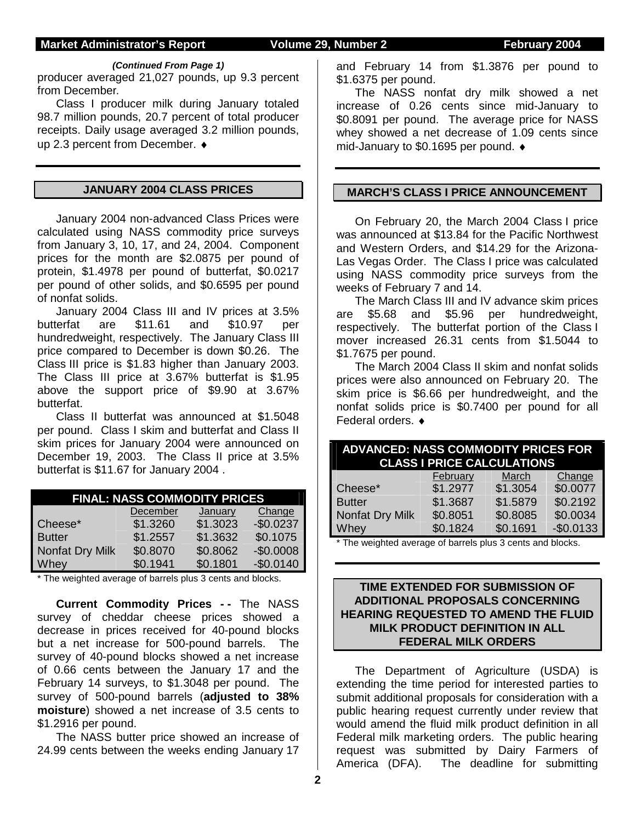#### **Market Administrator's Report Volume 29, Number 2 February 2004**

#### *(Continued From Page 1)*

producer averaged 21,027 pounds, up 9.3 percent from December.

Class I producer milk during January totaled 98.7 million pounds, 20.7 percent of total producer receipts. Daily usage averaged 3.2 million pounds, up 2.3 percent from December. ♦

#### **JANUARY 2004 CLASS PRICES**

January 2004 non-advanced Class Prices were calculated using NASS commodity price surveys from January 3, 10, 17, and 24, 2004. Component prices for the month are \$2.0875 per pound of protein, \$1.4978 per pound of butterfat, \$0.0217 per pound of other solids, and \$0.6595 per pound of nonfat solids.

 January 2004 Class III and IV prices at 3.5% butterfat are \$11.61 and \$10.97 per hundredweight, respectively. The January Class III price compared to December is down \$0.26. The Class III price is \$1.83 higher than January 2003. The Class III price at 3.67% butterfat is \$1.95 above the support price of \$9.90 at 3.67% butterfat.

Class II butterfat was announced at \$1.5048 per pound. Class I skim and butterfat and Class II skim prices for January 2004 were announced on December 19, 2003. The Class II price at 3.5% butterfat is \$11.67 for January 2004 .

|                 | <b>FINAL: NASS COMMODITY PRICES</b> |          |            |  |  |  |  |  |  |  |  |  |  |  |  |
|-----------------|-------------------------------------|----------|------------|--|--|--|--|--|--|--|--|--|--|--|--|
|                 | December                            | January  | Change     |  |  |  |  |  |  |  |  |  |  |  |  |
| Cheese*         | \$1.3260                            | \$1.3023 | $-$0.0237$ |  |  |  |  |  |  |  |  |  |  |  |  |
| <b>Butter</b>   | \$1.2557                            | \$1.3632 | \$0.1075   |  |  |  |  |  |  |  |  |  |  |  |  |
| Nonfat Dry Milk | \$0.8070                            | \$0.8062 | $-$0.0008$ |  |  |  |  |  |  |  |  |  |  |  |  |
| Whey            | \$0.1941                            | \$0.1801 | $-$0.0140$ |  |  |  |  |  |  |  |  |  |  |  |  |

\* The weighted average of barrels plus 3 cents and blocks.

**Current Commodity Prices - -** The NASS survey of cheddar cheese prices showed a decrease in prices received for 40-pound blocks but a net increase for 500-pound barrels. The survey of 40-pound blocks showed a net increase of 0.66 cents between the January 17 and the February 14 surveys, to \$1.3048 per pound. The survey of 500-pound barrels (**adjusted to 38% moisture**) showed a net increase of 3.5 cents to \$1.2916 per pound.

The NASS butter price showed an increase of 24.99 cents between the weeks ending January 17

and February 14 from \$1.3876 per pound to \$1.6375 per pound.

The NASS nonfat dry milk showed a net increase of 0.26 cents since mid-January to \$0.8091 per pound. The average price for NASS whey showed a net decrease of 1.09 cents since mid-January to \$0.1695 per pound. ♦

#### **MARCH'S CLASS I PRICE ANNOUNCEMENT**

 On February 20, the March 2004 Class I price was announced at \$13.84 for the Pacific Northwest and Western Orders, and \$14.29 for the Arizona-Las Vegas Order. The Class I price was calculated using NASS commodity price surveys from the weeks of February 7 and 14.

 The March Class III and IV advance skim prices are \$5.68 and \$5.96 per hundredweight, respectively. The butterfat portion of the Class I mover increased 26.31 cents from \$1.5044 to \$1.7675 per pound.

 The March 2004 Class II skim and nonfat solids prices were also announced on February 20. The skim price is \$6.66 per hundredweight, and the nonfat solids price is \$0.7400 per pound for all Federal orders. ♦

| <b>ADVANCED: NASS COMMODITY PRICES FOR</b><br><b>CLASS I PRICE CALCULATIONS</b> |          |          |            |  |  |  |  |  |  |  |  |  |  |  |
|---------------------------------------------------------------------------------|----------|----------|------------|--|--|--|--|--|--|--|--|--|--|--|
|                                                                                 | February | March    | Change     |  |  |  |  |  |  |  |  |  |  |  |
| Cheese*                                                                         | \$1.2977 | \$1.3054 | \$0.0077   |  |  |  |  |  |  |  |  |  |  |  |
| <b>Butter</b>                                                                   | \$1.3687 | \$1.5879 | \$0.2192   |  |  |  |  |  |  |  |  |  |  |  |
| Nonfat Dry Milk                                                                 | \$0.8051 | \$0.8085 | \$0.0034   |  |  |  |  |  |  |  |  |  |  |  |
| Whey                                                                            | \$0.1824 | \$0.1691 | $-$0.0133$ |  |  |  |  |  |  |  |  |  |  |  |

\* The weighted average of barrels plus 3 cents and blocks.

#### **TIME EXTENDED FOR SUBMISSION OF ADDITIONAL PROPOSALS CONCERNING HEARING REQUESTED TO AMEND THE FLUID MILK PRODUCT DEFINITION IN ALL FEDERAL MILK ORDERS**

The Department of Agriculture (USDA) is extending the time period for interested parties to submit additional proposals for consideration with a public hearing request currently under review that would amend the fluid milk product definition in all Federal milk marketing orders. The public hearing request was submitted by Dairy Farmers of America (DFA). The deadline for submitting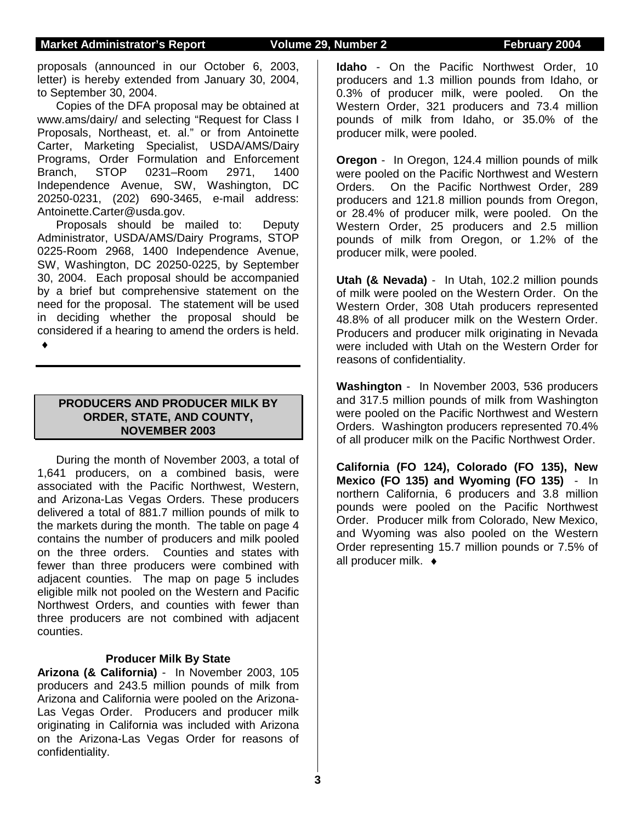proposals (announced in our October 6, 2003, letter) is hereby extended from January 30, 2004, to September 30, 2004.

Copies of the DFA proposal may be obtained at www.ams/dairy/ and selecting "Request for Class I Proposals, Northeast, et. al." or from Antoinette Carter, Marketing Specialist, USDA/AMS/Dairy Programs, Order Formulation and Enforcement<br>Branch, STOP 0231-Room 2971, 1400 Branch, STOP 0231–Room 2971, 1400 Independence Avenue, SW, Washington, DC 20250-0231, (202) 690-3465, e-mail address: Antoinette.Carter@usda.gov.

Proposals should be mailed to: Deputy Administrator, USDA/AMS/Dairy Programs, STOP 0225-Room 2968, 1400 Independence Avenue, SW, Washington, DC 20250-0225, by September 30, 2004. Each proposal should be accompanied by a brief but comprehensive statement on the need for the proposal. The statement will be used in deciding whether the proposal should be considered if a hearing to amend the orders is held.

♦

### **PRODUCERS AND PRODUCER MILK BY ORDER, STATE, AND COUNTY, NOVEMBER 2003**

During the month of November 2003, a total of 1,641 producers, on a combined basis, were associated with the Pacific Northwest, Western, and Arizona-Las Vegas Orders. These producers delivered a total of 881.7 million pounds of milk to the markets during the month. The table on page 4 contains the number of producers and milk pooled on the three orders. Counties and states with fewer than three producers were combined with adjacent counties. The map on page 5 includes eligible milk not pooled on the Western and Pacific Northwest Orders, and counties with fewer than three producers are not combined with adjacent counties.

#### **Producer Milk By State**

**Arizona (& California)** - In November 2003, 105 producers and 243.5 million pounds of milk from Arizona and California were pooled on the Arizona-Las Vegas Order. Producers and producer milk originating in California was included with Arizona on the Arizona-Las Vegas Order for reasons of confidentiality.

**Idaho** - On the Pacific Northwest Order, 10 producers and 1.3 million pounds from Idaho, or 0.3% of producer milk, were pooled. On the Western Order, 321 producers and 73.4 million pounds of milk from Idaho, or 35.0% of the producer milk, were pooled.

**Oregon** - In Oregon, 124.4 million pounds of milk were pooled on the Pacific Northwest and Western Orders. On the Pacific Northwest Order, 289 producers and 121.8 million pounds from Oregon, or 28.4% of producer milk, were pooled. On the Western Order, 25 producers and 2.5 million pounds of milk from Oregon, or 1.2% of the producer milk, were pooled.

**Utah (& Nevada)** - In Utah, 102.2 million pounds of milk were pooled on the Western Order. On the Western Order, 308 Utah producers represented 48.8% of all producer milk on the Western Order. Producers and producer milk originating in Nevada were included with Utah on the Western Order for reasons of confidentiality.

**Washington** - In November 2003, 536 producers and 317.5 million pounds of milk from Washington were pooled on the Pacific Northwest and Western Orders. Washington producers represented 70.4% of all producer milk on the Pacific Northwest Order.

**California (FO 124), Colorado (FO 135), New Mexico (FO 135) and Wyoming (FO 135)** - In northern California, 6 producers and 3.8 million pounds were pooled on the Pacific Northwest Order. Producer milk from Colorado, New Mexico, and Wyoming was also pooled on the Western Order representing 15.7 million pounds or 7.5% of all producer milk. ♦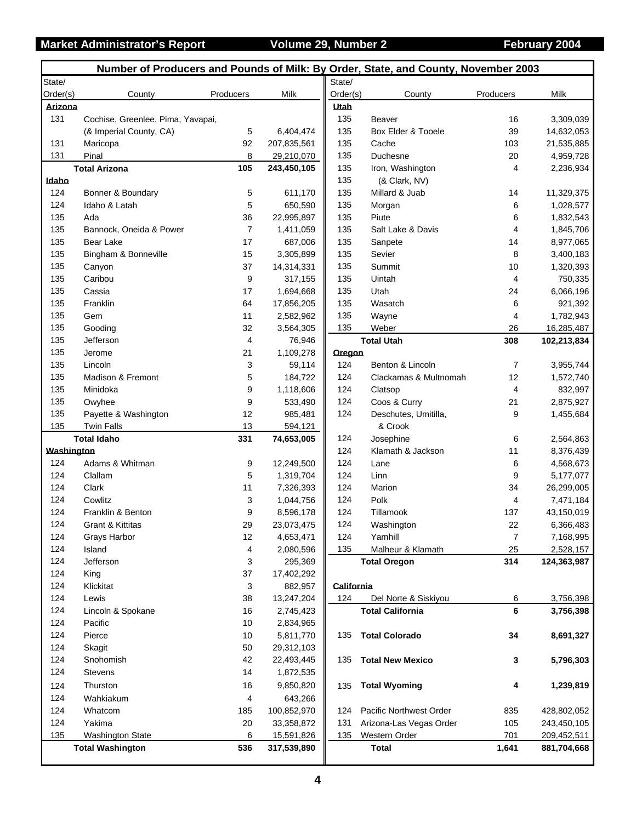## **Market Administrator's Report Colume 29, Number 2 Colume 29, Number 2** February 2004

|            |                                   |                |             |            | Number of Producers and Pounds of Milk: By Order, State, and County, November 2003 |                 |             |
|------------|-----------------------------------|----------------|-------------|------------|------------------------------------------------------------------------------------|-----------------|-------------|
| State/     |                                   |                |             | State/     |                                                                                    |                 |             |
| Order(s)   | County                            | Producers      | Milk        | Order(s)   | County                                                                             | Producers       | Milk        |
| Arizona    |                                   |                |             | Utah       |                                                                                    |                 |             |
| 131        | Cochise, Greenlee, Pima, Yavapai, |                |             | 135        | Beaver                                                                             | 16              | 3,309,039   |
|            | (& Imperial County, CA)           | 5              | 6,404,474   | 135        | Box Elder & Tooele                                                                 | 39              | 14,632,053  |
| 131        | Maricopa                          | 92             | 207,835,561 | 135        | Cache                                                                              | 103             | 21,535,885  |
| 131        | Pinal                             | 8              | 29,210,070  | 135        | Duchesne                                                                           | 20              | 4,959,728   |
|            | <b>Total Arizona</b>              | 105            | 243,450,105 | 135        | Iron, Washington                                                                   | 4               | 2,236,934   |
| Idaho      |                                   |                |             | 135        | (& Clark, NV)                                                                      |                 |             |
| 124        | Bonner & Boundary                 | $\mathbf 5$    | 611,170     | 135        | Millard & Juab                                                                     | 14              | 11,329,375  |
| 124        | Idaho & Latah                     | 5              | 650,590     | 135        | Morgan                                                                             | 6               | 1,028,577   |
| 135        | Ada                               | 36             | 22,995,897  | 135        | Piute                                                                              | 6               | 1,832,543   |
| 135        | Bannock, Oneida & Power           | $\overline{7}$ | 1,411,059   | 135        | Salt Lake & Davis                                                                  | 4               | 1,845,706   |
| 135        | <b>Bear Lake</b>                  | 17             | 687,006     | 135        | Sanpete                                                                            | 14              | 8,977,065   |
| 135        | Bingham & Bonneville              | 15             | 3,305,899   | 135        | Sevier                                                                             | 8               | 3,400,183   |
| 135        | Canyon                            | 37             | 14,314,331  | 135        | Summit                                                                             | 10              | 1,320,393   |
| 135        | Caribou                           | 9              | 317,155     | 135        | Uintah                                                                             | 4               | 750,335     |
| 135        | Cassia                            | 17             | 1,694,668   | 135        | Utah                                                                               | 24              | 6,066,196   |
| 135        | Franklin                          | 64             | 17,856,205  | 135        | Wasatch                                                                            | 6               | 921,392     |
| 135        | Gem                               | 11             | 2,582,962   | 135        | Wayne                                                                              | 4               | 1,782,943   |
| 135        | Gooding                           | 32             | 3,564,305   | 135        | Weber                                                                              | 26              | 16,285,487  |
| 135        | Jefferson                         | 4              | 76,946      |            | <b>Total Utah</b>                                                                  | 308             | 102,213,834 |
| 135        | Jerome                            | 21             | 1,109,278   | Oregon     |                                                                                    |                 |             |
| 135        | Lincoln                           | 3              | 59,114      | 124        | Benton & Lincoln                                                                   | $\overline{7}$  | 3,955,744   |
| 135        | Madison & Fremont                 | 5              | 184,722     | 124        | Clackamas & Multnomah                                                              | 12              | 1,572,740   |
| 135        | Minidoka                          | 9              | 1,118,606   | 124        | Clatsop                                                                            | 4               | 832,997     |
| 135        | Owyhee                            | 9              | 533,490     | 124        | Coos & Curry                                                                       | 21              | 2,875,927   |
| 135        | Payette & Washington              | 12             | 985,481     | 124        | Deschutes, Umitilla,                                                               | 9               | 1,455,684   |
| 135        | <b>Twin Falls</b>                 | 13             | 594,121     |            | & Crook                                                                            |                 |             |
|            | <b>Total Idaho</b>                | 331            | 74,653,005  | 124        | Josephine                                                                          | 6               | 2,564,863   |
| Washington |                                   |                |             | 124        | Klamath & Jackson                                                                  | 11              | 8,376,439   |
| 124        | Adams & Whitman                   | 9              | 12,249,500  | 124        | Lane                                                                               | 6               | 4,568,673   |
| 124        | Clallam                           | 5              | 1,319,704   | 124        | Linn                                                                               | 9               | 5,177,077   |
| 124        | Clark                             | 11             | 7,326,393   | 124        | Marion                                                                             | 34              | 26,299,005  |
| 124        | Cowlitz                           | 3              | 1,044,756   | 124        | Polk                                                                               | 4               | 7,471,184   |
| 124        | Franklin & Benton                 | 9              | 8,596,178   | 124        | Tillamook                                                                          | 137             | 43,150,019  |
| 124        | Grant & Kittitas                  | 29             | 23,073,475  | 124        | Washington                                                                         | 22              | 6,366,483   |
| 124        | Grays Harbor                      | 12             | 4,653,471   | 124        | Yamhill                                                                            | $\overline{7}$  | 7,168,995   |
| 124        | Island                            | 4              | 2,080,596   | 135        | Malheur & Klamath                                                                  | 25              | 2,528,157   |
| 124        | Jefferson                         | 3              | 295,369     |            | <b>Total Oregon</b>                                                                | 314             | 124,363,987 |
| 124        | King                              | 37             | 17,402,292  |            |                                                                                    |                 |             |
| 124        | Klickitat                         | 3              | 882,957     | California |                                                                                    |                 |             |
| 124        | Lewis                             | 38             | 13,247,204  | 124        | Del Norte & Siskiyou                                                               | 6               | 3,756,398   |
| 124        | Lincoln & Spokane                 | 16             | 2,745,423   |            | <b>Total California</b>                                                            | $6\phantom{1}6$ | 3,756,398   |
| 124        | Pacific                           | 10             | 2,834,965   |            |                                                                                    |                 |             |
| 124        | Pierce                            | 10             | 5,811,770   | 135        | <b>Total Colorado</b>                                                              | 34              | 8,691,327   |
| 124        | Skagit                            | 50             | 29,312,103  |            |                                                                                    |                 |             |
| 124        | Snohomish                         | 42             | 22,493,445  | 135        | <b>Total New Mexico</b>                                                            | 3               | 5,796,303   |
| 124        | <b>Stevens</b>                    | 14             | 1,872,535   |            |                                                                                    |                 |             |
| 124        | Thurston                          | 16             | 9,850,820   | 135        | <b>Total Wyoming</b>                                                               | 4               | 1,239,819   |
| 124        | Wahkiakum                         | 4              | 643,266     |            |                                                                                    |                 |             |
| 124        | Whatcom                           | 185            | 100,852,970 | 124        | Pacific Northwest Order                                                            | 835             | 428,802,052 |
| 124        | Yakima                            | 20             | 33,358,872  | 131        | Arizona-Las Vegas Order                                                            | 105             | 243,450,105 |
| 135        | <b>Washington State</b>           | 6              | 15,591,826  | 135        | Western Order                                                                      | 701             | 209,452,511 |
|            | <b>Total Washington</b>           | 536            | 317,539,890 |            | <b>Total</b>                                                                       | 1,641           | 881,704,668 |
|            |                                   |                |             |            |                                                                                    |                 |             |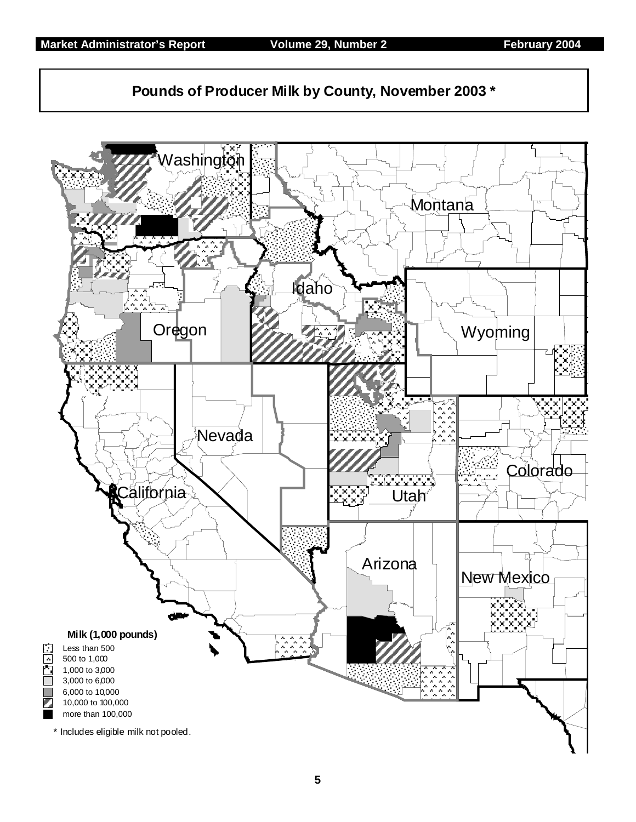

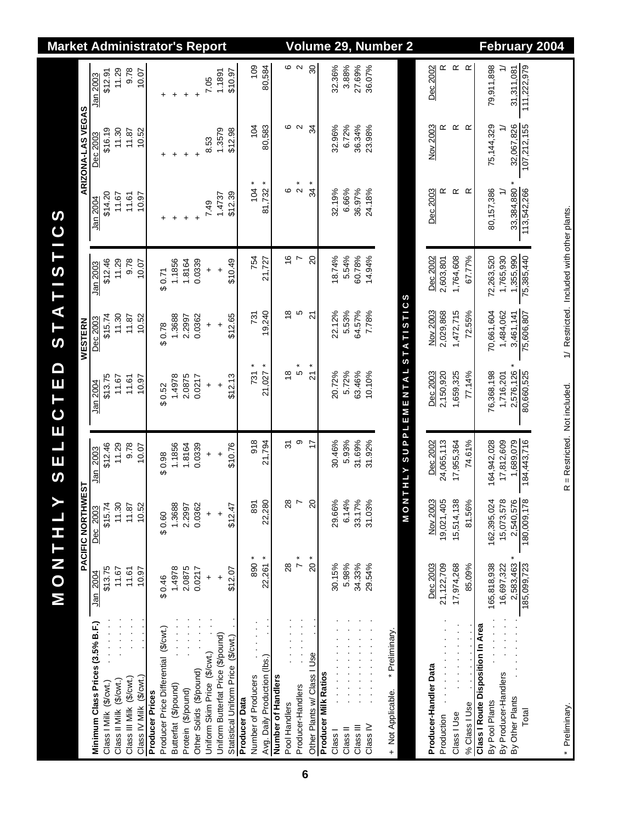| PACIFIC NORTHWEST<br><b>HIND</b><br>Σ    |                      | Ш<br>$\boldsymbol{\omega}$ | П                             | Q<br>Щ<br>O         | AT<br>WESTERN<br>$\vdash$<br>$\boldsymbol{\omega}$ | 15T1C                                      | S                   | ARIZONA-LAS VEGAS          |                     |
|------------------------------------------|----------------------|----------------------------|-------------------------------|---------------------|----------------------------------------------------|--------------------------------------------|---------------------|----------------------------|---------------------|
| Minimum Class Prices (3.5% B.F.)         | \$13.75<br>Jan 2004  | \$15.74<br>Dec 2003        | \$12.46<br>Jan 2003           | \$13.75<br>Jan 2004 | \$15.74<br>Dec 2003                                | \$12.46<br>Jan 2003                        | \$14.20<br>Jan 2004 | \$16.19<br><u>Dec 2003</u> | \$12.91<br>Jan 2003 |
|                                          | 11.67                | 11.30                      | 11.29                         | 11.67               | 11.30                                              | 11.29                                      | 11.67               | 11.30                      | 11.29               |
|                                          | 11.61                | 11.87                      | 9.78                          | 11.61               | 11.87                                              | 9.78                                       | 11.61               | 11.87                      | 9.78                |
|                                          | 10.97                | 10.52                      | 10.07                         | 10.97               | 10.52                                              | 10.07                                      | 10.97               | 10.52                      | 10.07               |
|                                          |                      |                            |                               |                     |                                                    |                                            |                     |                            |                     |
| Producer Price Differential (\$/cwt.)    | \$0.46               | \$0.60                     | \$0.98                        | \$0.52              | \$0.78                                             | \$0.71                                     | +                   | +                          | +                   |
|                                          | 1.4978               | 1.3688                     | 1.1856                        | 1.4978              | 1.3688                                             | 1.1856                                     | $\ddot{}$           | +                          | $\ddot{}$           |
|                                          | 2.0875               | 2.2997                     | 1.8164                        | 2.0875              | 2.2997                                             | 1.8164                                     | $\ddot{}$           | $\ddot{}$                  | $\ddot{}$           |
|                                          | 0.0217               | 0.0362                     | 0.0339                        | 0.0217              | 0.0362                                             | 0.0339                                     | $\ddot{}$           | $\ddot{}$                  | $\ddot{}$           |
|                                          | $\ddot{}$            | $\ddot{}$                  | $\ddot{}$                     | $\ddot{}$           | $\ddot{}$                                          | $\ddot{}$                                  | 749                 | 8.53                       | 7.05                |
|                                          | $\ddot{}$            | $\ddot{}$                  | $\ddot{}$                     | $\ddot{}$           | $\ddot{}$                                          | $\ddot{}$                                  | 1.4737              | 1.3579                     | 1.1891              |
|                                          | \$12.07              | \$12.47                    | \$10.76                       | \$12.13             | \$12.65                                            | \$10.49                                    | \$12.39             | \$12.98                    | \$10.97             |
|                                          |                      |                            |                               |                     |                                                    |                                            |                     |                            |                     |
|                                          | ×<br>890             | 891                        | 918                           | $731 *$             | 731                                                | 754                                        | $104 *$             | $\overline{5}$             | 109                 |
|                                          | 22,261 *             | 22,280                     | 21,794                        | 21,027 *            | 19,240                                             | 21,727                                     | $81,732 *$          | 80,583                     | 80,584              |
|                                          |                      |                            |                               |                     |                                                    |                                            |                     |                            |                     |
|                                          | $\frac{8}{2}$        | $\frac{8}{2}$              | 31                            | $\frac{8}{1}$       | $\frac{8}{1}$                                      | $\frac{6}{1}$                              | ဖ                   | ဖ                          | ဖ                   |
|                                          | $\ddot{\phantom{0}}$ | $\overline{ }$             | တ                             | *<br>ნ              | Ю                                                  | $\overline{ }$                             | $\alpha^*$          | $\sim$                     | $\sim$              |
|                                          | $\frac{1}{20}$       | 20                         | 17                            | ×<br>ភ              | 21                                                 | $\overline{c}$                             | 34                  | ઝુ                         | $\infty$            |
|                                          |                      |                            |                               |                     |                                                    |                                            |                     |                            |                     |
|                                          | 30.15%               | 29.66%                     | 30.46%                        | 20.72%              | 22.12%                                             | 18.74%                                     | 32.19%              | 32.96%                     | 32.36%              |
|                                          | 5.98%                | 6.14%                      | 5.93%                         | 5.72%               | 5.53%                                              | 5.54%                                      | 6.66%               | 6.72%                      | 3.88%               |
|                                          | 34.33%               | 33.17%                     | 31.69%                        | 63.46%              | 64.57%                                             | 60.78%                                     | 36.97%              | 36.34%                     | 27.69%              |
|                                          | 29.54%               | 31.03%                     | 31.92%                        | 10.10%              | 7.78%                                              | 14.94%                                     | 24.18%              | 23.98%                     | 36.07%              |
| * Preliminary.                           |                      |                            |                               |                     |                                                    |                                            |                     |                            |                     |
|                                          |                      | O M                        | <b>NTHLY</b>                  | SUPPLEMENTAL        | <b>STATISTICS</b>                                  |                                            |                     |                            |                     |
|                                          |                      |                            |                               |                     |                                                    |                                            |                     |                            |                     |
|                                          | Dec 2003             |                            | Dec 2002                      | Dec 2003            | Nov 2003                                           | Dec 2002                                   | Dec 2003            | Nov 2003                   | Dec 2002            |
|                                          | 21,122,709           | Nov 2003<br>19,021,405     | 24,065,113                    | 2,150,920           | 2,029,868                                          | 2,603,801                                  | œ                   | œ                          | ≃                   |
|                                          | 17,974,268           | 15,514,138                 | 17,955,364                    | 1,659,325           | 1,472,715                                          | 1,764,608                                  | œ                   | ≃                          | œ                   |
|                                          | 85.09%               | 81.56%                     | 74.61%                        | 77.14%              | 72.55%                                             | 67.77%                                     | $\propto$           | $\propto$                  | œ                   |
| <b>Class I Route Disposition In Area</b> | 165,818,938          | 162,395,024                | 164,942,028                   | 76,368,198          | 70,661,604                                         | 72,263,520                                 | 80,157,386          | 75,144,329                 | 79,911,898          |
|                                          | 16,697,322           | 15,073,578                 | 17,812,609                    | 1,716,201           | 1,484,062                                          | 1,765,930                                  | $\Rightarrow$       | $\geq$                     | $\geq$              |
|                                          | 2,583,463 *          | 2,540,576<br>180,009,178   | 1,689,079                     | 2,576,126 *         | 3,461,141                                          | 1,355,990                                  | 33,384,880 *        | 32,067,826                 | 31,311,081          |
|                                          | 185,099,723          |                            | 184,443,716                   | 80,660,525          | 75,606,807                                         | 75,385,440                                 | 113,542,266         | 107,212,155                | 111,222,979         |
|                                          |                      |                            |                               |                     |                                                    |                                            |                     |                            |                     |
|                                          |                      |                            | R = Restricted. Not included. |                     |                                                    | 1/ Restricted. Included with other plants. |                     |                            |                     |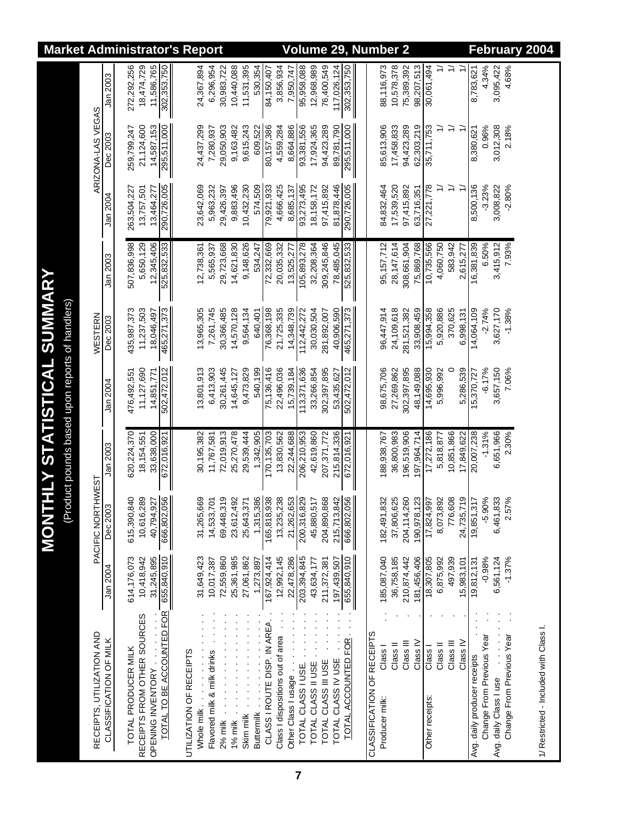| <b>Market Administrator's Report</b>                                       |                           |                        |                     |                             |                   |                                       |                         |             |                             |                     |            |            |                   |                             |                                  |                           | <b>Volume</b>      |                     |                     |                    |                      | 29, Number 2 |                            |                           |            |                                  |                           |           |               |                     |                              |                           |                        |                           | February 2004 |                                        |  |
|----------------------------------------------------------------------------|---------------------------|------------------------|---------------------|-----------------------------|-------------------|---------------------------------------|-------------------------|-------------|-----------------------------|---------------------|------------|------------|-------------------|-----------------------------|----------------------------------|---------------------------|--------------------|---------------------|---------------------|--------------------|----------------------|--------------|----------------------------|---------------------------|------------|----------------------------------|---------------------------|-----------|---------------|---------------------|------------------------------|---------------------------|------------------------|---------------------------|---------------|----------------------------------------|--|
|                                                                            |                           | Jan 2003               | 272,292,256         | 18,474,729                  | 11,586,765        | 302,353,750                           |                         | 24,367,894  | 6,296,954                   | 30,983,722          | 10,440,088 | 11,531,395 | 530,354           | 84,150,407                  | 3,856,934                        | 7,950,747                 | 95,958,088         | 12,968,989          | 76,400,549          | 117,026,124        | 302,353,750          |              |                            | 88,116,973                | 10,578,378 | 75,389,392<br>98,207,513         | 30,061,494                |           | $\Rightarrow$ |                     | 8,783,621                    | 4.34%                     | 3,095,422              | 4.68%                     |               |                                        |  |
|                                                                            | ARIZONA-LAS VEGAS         | Dec 2003               | 259,799,247         | 21,124,600                  | 14,587,153        | 295,511,000                           |                         | 24,437,299  | 7,280,937                   | 29,050,903          | 9,163,482  | 9,615,243  | 609,522           | 80,157,386                  | 4,559,284                        | 8,664,886                 | 93,381,556         | 17,924,365          | 94,423,289          | 89,781,790         | 295,511,000          |              |                            | 85,613,906                | 17,458,833 | 94,423,289<br>62,303,219         | 35,711,753                | ≓         | $\geq$        |                     | 8,380,621                    | 0.96%                     | 3,012,308              | 2.18%                     |               |                                        |  |
|                                                                            |                           | Jan 2004               | 263,504,227         | 13,757,501                  | 13,464,277        | 290,726,005                           |                         | 23,642,069  | 5,963,232                   | 29,426,397          | 9,883,496  | 10,432,230 | 574,509           | 79,921,933                  | 4,666,425                        | 8,685,137                 | 93,273,495         | 18,158,172          | 97,415,892          | 81,878,446         | 290,726,005          |              |                            | 84,832,464                | 17,539,520 | 97,415,892<br>63,716,351         | 27,221,778                | ≓         | $\Rightarrow$ | $\tilde{t}$         | 8,500,136                    | $-3.23%$                  | 3,008,822              | $-2.80%$                  |               |                                        |  |
|                                                                            |                           | Jan 2003               | 507,836,998         | 5,650,129                   | 12,345,406        | 525,832,533                           |                         | 12,738,361  | 5,565,937                   | 29,723,668          | 14,621,830 | 9,148,626  | 534,247           | 72,332,669                  | 20,035,332                       | 13,525,277                | 105,893,278        | 32,208,364          | 309,245,846         | 78,485,045         | 525,832,533          |              |                            | 95,157,712                | 28,147,614 | 308,661,904<br>75,869,768        | 10,735,566                | 4,060,750 | 583,942       | 2,615,277           | 16,381,839                   | 6.50%                     | 3,415,912              | 7.93%                     |               |                                        |  |
|                                                                            | WESTERN                   | Dec 2003               | 435,987,373         | 11,237,503                  | 18,046,497        | 465,271,373                           |                         | 13,965,305  | 7,261,745                   | 30,366,485          | 14,570,128 | 9,564,134  | 640,401           | 76,368,198                  | 21,725,335                       | 14,348,739                | 112,442,272        | 30,030,504          | 281,892,007         | 40,906,590         | 465,271,373          |              |                            | 96,447,914                | 24,109,618 | 281,521,382<br>33,908,459        | 15,994,358                | 5,920,886 | 370,625       | 6,998,131           | 14,064,109                   | $-2.74%$                  | 3,627,170              | $-1.38%$                  |               |                                        |  |
| HLY STATISTICAL SUMMARY<br>(Product pounds based upon reports of handlers) |                           | Jan 2004               | 476,492,551         | 11,127,690                  | 14,851,771        | 502,472,012                           |                         | 13,801,913  | 6,413,903                   | 30,261,445          | 14,645,127 | 9,473,829  | 540,199           | 75,136,416                  | 22,496,036                       | 15,739,184                | 113,371,636        | 33,266,854          | 302,397,895         | 53,435,627         | 502,472,012          |              |                            | 98,675,706                | 27,269,862 | 302,397,895<br>48,149,088        | 14,695,930                | 5,996,992 | $\circ$       | 5,286,539           | 5,370,727                    | $-6.17%$                  | 3,657,150              | 7.06%                     |               |                                        |  |
|                                                                            |                           | Jan 2003               | 620,224,370         | 18,154,551                  | 33,638,000        | 672,016,921                           |                         | 30,195,382  | 11,767,581                  | 72,019,913          | 25,270,478 | 29,539,444 | 1,342,905         | 170, 135, 703               | 13,830,562                       | 22,244,688                | 206,210,953        | 42,619,860          | 207, 371, 772       | 215,814,336        | 672,016,921          |              |                            | 188,938,767               | 36,800,983 | 196,519,906<br>197,964,714       | 17,272,186                | 5,818,877 | 10,851,866    | 17,849,622          | 20,007,238                   | $-1.31%$                  | 6,651,966              | 2.30%                     |               |                                        |  |
| <b>TNOM</b>                                                                | PACIFIC NORTHWEST         | Dec 2003               | 615,390,840         | 10,616,289                  |                   | 40,794,927<br>666,802,056             |                         | 31,265,669  | 14,533,701                  | 69,448,319          | 23,612,492 | 25,643,371 | 1,315,386         | 165,818,938                 | 13,235,238                       | 21,262,653<br>200,316,829 |                    | 45,880,517          | 204,890,868         | 215,713,842        | 666,802,056          |              |                            | 182,491,832               | 37,806,625 | 204,114,260                      | 190,978,123<br>17,824,997 | 8,073,892 | 776,608       | 24,735,719          | 19,851,317                   | $-5.90%$                  | 6,461,833              | 2.57%                     |               |                                        |  |
|                                                                            |                           | Jan 2004               | 614,176,073         | 10,418,942                  | 31,245,895        |                                       |                         | 31,649,423  | 10,017,387                  | 72,559,860          | 25,361,985 | 27,061,862 | 1,273,897         | 167,924,414                 | 12,992,145                       | 22,478,286                | 203,394,845        | 43,634,177          | 211, 372, 381       | 197,439,507        | 655,840,910          |              |                            | 185,087,040               | 36,758,185 | 210,874,442<br>181,456,406       | 18,307,805                | 6,875,992 | 497,939       | 15,983,101          | 19,812,131                   | $-0.98%$                  | 6,561,124              | $-1.37%$                  |               |                                        |  |
|                                                                            | RECEIPTS, UTILIZATION AND | CLASSIFICATION OF MILK | TOTAL PRODUCER MILK | RECEIPTS FROM OTHER SOURCES | OPENING INVENTORY | TOTAL TO BE ACCOUNTED FOR 655,840,910 | UTILIZATION OF RECEIPTS | Whole milk. | Flavored milk & milk drinks | $2\%$ milk $\ldots$ | 1% milk    | Skim milk  | <b>Buttermilk</b> | CLASS I ROUTE DISP. IN AREA | Class I dispositions out of area | Other Class   usage       | TOTAL CLASS I USE. | TOTAL CLASS II USE. | TOTAL CLASS III USE | TOTAL CLASS IV USE | TOTAL ACCOUNTED FOR. |              | CLASSIFICATION OF RECEIPTS | Class I<br>Producer milk: | Class II   | Class <sub>IV</sub><br>Class III | Class I<br>Other receipts | Class II  | Class III     | Class <sub>IV</sub> | Avg. daily producer receipts | Change From Previous Year | Avg. daily Class I use | Change From Previous Year |               | 1/ Restricted - Included with Class I. |  |